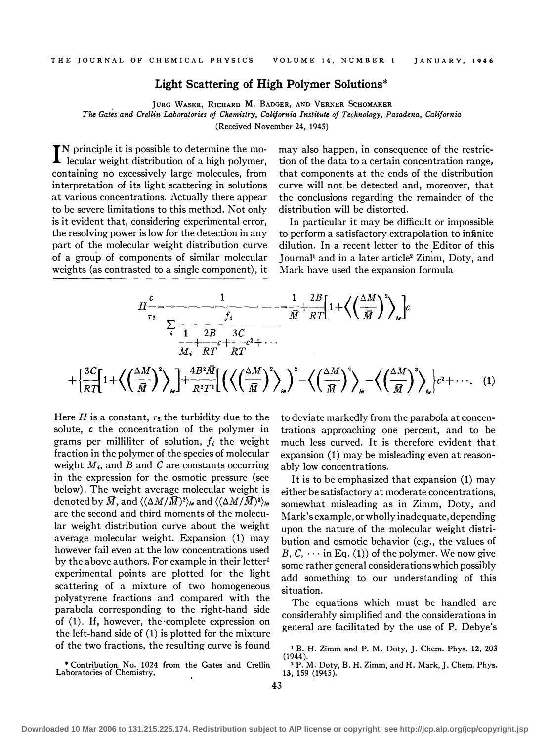## Light Scattering of High Polymer Solutions\*

JURG WASER, RICHARD M. BADGER, AND VERNER SCHOMAKER The Gates and Crellin Laboratories of Chemistry, California Institute of Technology, Pasadena, California (Received November 24, 1945)

I N principle it is possible to determine the molecular weight distribution of a high polymer, containing no excessively large molecules, from interpretation of its light scattering in solutions at various concentrations. Actually there appear to be severe limitations to this method. Not only is it evident that, considering experimental error, the resolving power is low for the detection in any part of the molecular weight distribution curve of a group of components of similar molecular weights (as contrasted to a single component), it

may also happen, in consequence of the restriction of the data to a certain concentration range, that components at the ends of the distribution curve will not be detected and, moreover, that the conclusions regarding the remainder of the distribution will be distorted.

In particular it may be difficult or impossible to perform a satisfactory extrapolation to infinite dilution. In a recent letter to the Editor of this Journal<sup>1</sup> and in a later article<sup>2</sup> Zimm, Doty, and Mark have used the expansion formula

$$
H_{\tau_2}^c = \frac{1}{\frac{f_i}{\overline{M}} + \frac{2B}{RT} \left[1 + \left\langle \left(\frac{\Delta M}{\overline{M}}\right)^2 \right\rangle_M\right]} c
$$
  

$$
+ \left\{\frac{3C}{RT}\left[1 + \left\langle \left(\frac{\Delta M}{\overline{M}}\right)^2 \right\rangle_M\right] + \frac{4B^2 \overline{M}}{R^2 T^2} \left[\left(\left\langle \left(\frac{\Delta M}{\overline{M}}\right)^2 \right\rangle_M\right)^2 - \left\langle \left(\frac{\Delta M}{\overline{M}}\right)^2 \right\rangle_M - \left\langle \left(\frac{\Delta M}{\overline{M}}\right)^3 \right\rangle_M\right\} c^2 + \cdots (1)
$$

Here H is a constant,  $\tau_2$  the turbidity due to the solute, c the concentration of the polymer in grams per milliliter of solution,  $f_i$  the weight fraction in the polymer of the species of molecular weight  $M_i$ , and B and C are constants occurring in the expression for the osmotic pressure (see below). The weight average molecular weight is denoted by  $\bar{M}$ , and  $\langle (\Delta M/\bar{M})^2 \rangle_{\text{Av}}$  and  $\langle (\Delta M/\bar{M})^3 \rangle_{\text{Av}}$ are the second and third moments of the molecular weight distribution curve about the weight average molecular weight. Expansion (1) may however fail even at the low concentrations used by the above authors. For example in their letter<sup>1</sup> experimental points are plotted for the light scattering of a mixture of two homogeneous polystyrene fractions and compared with the parabola corresponding to the right-hand side of (1). If, however, the complete expression on the left-hand side of (1) is plotted for the mixture of the two fractions, the resulting curve is found

\*Contribution No. 1024 from the Gates and Crellin

Laboratories of Chemistry.

to deviate markedly from the parabola at concentrations approaching one percerit, and to be much less curved. It is therefore evident that expansion (1) may be misleading even at reasonably low concentrations.

It is to be emphasized that expansion (1) may either be satisfactory at moderate concentrations, somewhat misleading as in Zimm, Doty, and Mark's example, or wholly inadequate, depending upon the nature of the molecular weight distribution and osmotic behavior (e.g., the values of B,  $C_1 \cdots$  in Eq. (1)) of the polymer. We now give some rather general considerations which possibly add something to our understanding of this situation.

The equations which must be handled are considerably simplified and the considerations in general are facilitated by the use of P. Debye's

1 B. H. Zimm and P.M. Doty, J. Chern. Phys. 12, 203 (1944).

<sup>2</sup>P.M. Doty, B. H. Zimm, and H. Mark, J. Chern. Phys. 13, 159 (1945).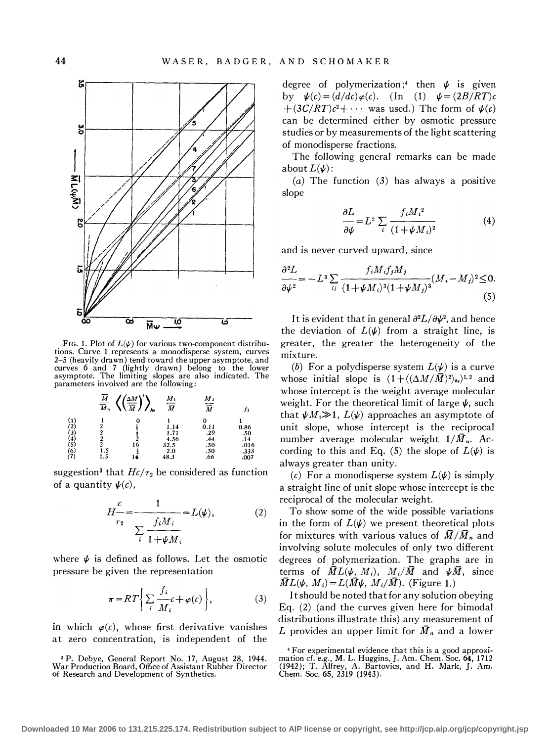

FIG. 1. Plot of  $L(\psi)$  for various two-component distributions. Curve 1 represents a monodisperse system, curves 2-5 (heavily drawn) tend toward the upper asymptote, and curves 6 and 7 (lightly drawn) belong to the lower asymptote. The limiting slopes are also indicated. The parameters involved are the following;

|                                           | __<br>$\frac{\overline{M}}{\overline{M}_n}$ | A٧ | $M_1$<br>$\overline{\overline{M}}$ | $\boldsymbol{M}_2$<br>$\overline{\overline{M}}$ |      |
|-------------------------------------------|---------------------------------------------|----|------------------------------------|-------------------------------------------------|------|
| $\binom{1}{2}$                            |                                             |    |                                    |                                                 |      |
|                                           |                                             |    | 1.14                               | 0.11                                            | 0.86 |
|                                           | 2                                           |    | 1.71                               | .29                                             | .50  |
|                                           |                                             |    | 4.56                               | .44                                             | .14  |
|                                           |                                             | 16 | 32.5                               | .50                                             | .016 |
|                                           | 1.5                                         |    | 2.0                                | .50                                             | .333 |
| $(3)$<br>$(4)$<br>$(5)$<br>$(6)$<br>$(7)$ | 1.5                                         |    | 48.3                               | .66                                             | .007 |

suggestion<sup>3</sup> that  $He/r_2$  be considered as function of a quantity  $\psi(c)$ ,

$$
H - \frac{c}{\tau_2} = \frac{1}{\sum_{i} \frac{f_i M_i}{1 + \psi M_i}} = L(\psi), \tag{2}
$$

where  $\psi$  is defined as follows. Let the osmotic pressure be given the representation

$$
\pi = RT \left\{ \sum_{i} \frac{f_i}{M_i} c + \varphi(c) \right\},\tag{3}
$$

in which  $\varphi(c)$ , whose first derivative vanishes at zero concentration, is independent of the

3 P. Debye, General Report No. 17, August 28, 1944. War Production Board, Office of Assistant Rubber Director of Research and Development of Synthetics.

degree of polymerization;<sup>4</sup> then  $\psi$  is given by  $\psi(c) = \left(\frac{d}{dc}\right)\varphi(c)$ . (In (1)  $\psi = \left(\frac{2B}{RT}\right)c$  $+(3C/RT)c^2 + \cdots$  was used.) The form of  $\psi(c)$ can be determined either by osmotic pressure studies or by measurements of the light scattering of monodisperse fractions.

The following general remarks can be made about  $L(\psi)$ :

(a) The function (3) has always a positive slope

$$
\frac{\partial L}{\partial \psi} = L^2 \sum_{i} \frac{f_i M_i^2}{(1 + \psi M_i)^2}
$$
(4)

and is never curved upward, since

$$
\frac{\partial^2 L}{\partial \psi^2} = -L^3 \sum_{ij} \frac{f_i M_i f_j M_j}{(1 + \psi M_i)^3 (1 + \psi M_j)^3} (M_i - M_j)^2 \le 0.
$$
\n(5)

It is evident that in general  $\partial^2 L/\partial \psi^2$ , and hence the deviation of  $L(\psi)$  from a straight line, is greater, the greater the heterogeneity of the mixture.

(b) For a polydisperse system  $L(\psi)$  is a curve whose initial slope is  $(1+(\langle \Delta M/\bar{M}\rangle)^2)_{av})^{1,2}$  and whose intercept is the weight average molecular weight. For the theoretical limit of large  $\psi$ , such that  $\psi M_i \gg 1$ ,  $L(\psi)$  approaches an asymptote of unit slope, whose intercept is the reciprocal number average molecular weight  $1/\bar{M}_n$ . According to this and Eq. (5) the slope of  $L(\psi)$  is always greater than unity.

(c) For a monodisperse system  $L(\psi)$  is simply a straight line of unit slope whose intercept is the reciprocal of the molecular weight.

To show some of the wide possible variations in the form of  $L(\psi)$  we present theoretical plots for mixtures with various values of  $\bar{M}/\bar{M}_n$  and involving solute molecules of only two different degrees of polymerization. The graphs are in terms of  $\overline{M}L(\psi, M_i)$ ,  $M_i/\overline{M}$  and  $\psi \overline{M}$ , since  $\overline{M}L(\psi, M_i) = L(\overline{M}\psi, M_i/\overline{M})$ . (Figure 1.)

It should be noted that for any solution obeying Eq. (2) (and the curves given here for bimodal distributions illustrate this) any measurement of L provides an upper limit for  $\bar{M}_n$  and a lower

<sup>4</sup> For experimental evidence that this is a good approximation cf. e.g., M. L. Huggins,]. Am. Chern. Soc. 64, 1712 (1942); T. Alfrey, A. Bartovics, and H. Mark, J. Am. Chern. Soc. 65, 2319 (1943).